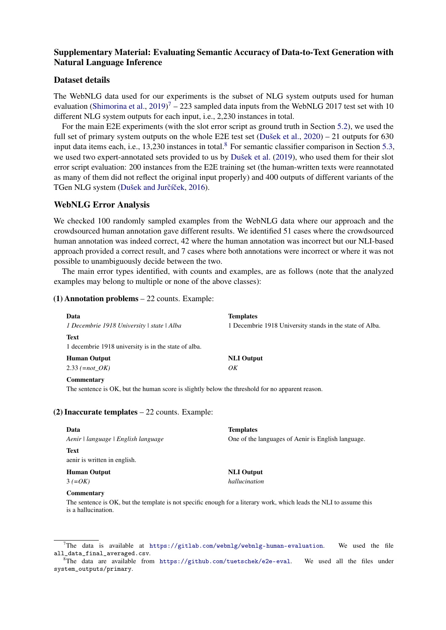# Supplementary Material: Evaluating Semantic Accuracy of Data-to-Text Generation with Natural Language Inference

## Dataset details

The WebNLG data used for our experiments is the subset of NLG system outputs used for human evaluation [\(Shimorina et al.,](#page--1-0)  $2019$ )<sup>[7](#page-0-0)</sup> – 223 sampled data inputs from the WebNLG 2017 test set with 10 different NLG system outputs for each input, i.e., 2,230 instances in total.

For the main E2E experiments (with the slot error script as ground truth in Section [5.2\)](#page--1-1), we used the full set of primary system outputs on the whole E2E test set [\(Dušek et al.,](#page--1-2) [2020\)](#page--1-2) – 21 outputs for 630 input data items each, i.e., 13,230 instances in total.<sup>[8](#page-0-1)</sup> For semantic classifier comparison in Section [5.3,](#page--1-3) we used two expert-annotated sets provided to us by [Dušek et al.](#page--1-4) [\(2019\)](#page--1-4), who used them for their slot error script evaluation: 200 instances from the E2E training set (the human-written texts were reannotated as many of them did not reflect the original input properly) and 400 outputs of different variants of the TGen NLG system (Dušek and Jurčíček, [2016\)](#page--1-5).

## WebNLG Error Analysis

We checked 100 randomly sampled examples from the WebNLG data where our approach and the crowdsourced human annotation gave different results. We identified 51 cases where the crowdsourced human annotation was indeed correct, 42 where the human annotation was incorrect but our NLI-based approach provided a correct result, and 7 cases where both annotations were incorrect or where it was not possible to unambiguously decide between the two.

The main error types identified, with counts and examples, are as follows (note that the analyzed examples may belong to multiple or none of the above classes):

## (1) Annotation problems – 22 counts. Example:

| Data                                                                | <b>Templates</b>                                         |
|---------------------------------------------------------------------|----------------------------------------------------------|
| I Decembrie 1918 University   state   Alba                          | 1 Decembrie 1918 University stands in the state of Alba. |
| <b>Text</b><br>1 decembrie 1918 university is in the state of alba. |                                                          |
| <b>Human Output</b>                                                 | <b>NLI</b> Output                                        |
| 2.33 $(= not \; OK)$                                                | OK                                                       |
| Commentary                                                          |                                                          |
| $-1$ $-1$ $-1$                                                      | .                                                        |

The sentence is OK, but the human score is slightly below the threshold for no apparent reason.

#### (2) Inaccurate templates  $-22$  counts. Example:

| Data                                | <b>Templates</b>                                   |
|-------------------------------------|----------------------------------------------------|
| Aenir   language   English language | One of the languages of Aenir is English language. |
| Text                                |                                                    |
| aenir is written in english.        |                                                    |
| <b>Human Output</b>                 | <b>NLI</b> Output                                  |
| $3 (=OK)$                           | hallucination                                      |
| <b>Commentary</b>                   |                                                    |

The sentence is OK, but the template is not specific enough for a literary work, which leads the NLI to assume this is a hallucination.

<span id="page-0-0"></span>The data is available at  $https://github.com/webnlg/webnlg/webnlg-human-evaluation.$  We used the file all\_data\_final\_averaged.csv.

<span id="page-0-1"></span><sup>&</sup>lt;sup>8</sup>The data are available from  $\text{https://github.com/tuetschek/e2e-eval}.$  $\text{https://github.com/tuetschek/e2e-eval}.$  $\text{https://github.com/tuetschek/e2e-eval}.$  We used all the files under system\_outputs/primary.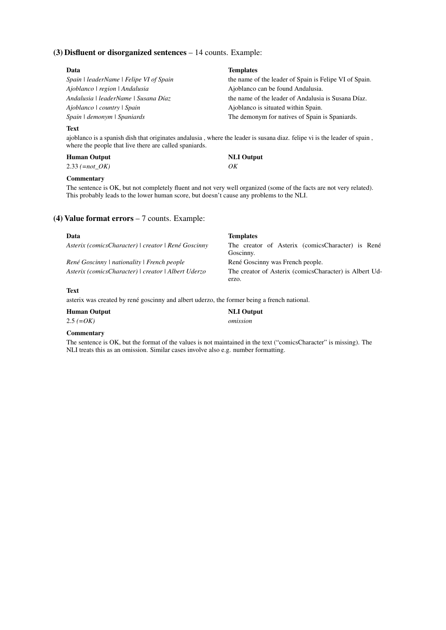## (3) Disfluent or disorganized sentences – 14 counts. Example:

| Data                                    | <b>Templates</b>                                       |
|-----------------------------------------|--------------------------------------------------------|
| Spain   leaderName   Felipe VI of Spain | the name of the leader of Spain is Felipe VI of Spain. |
| Ajoblanco   region   Andalusia          | Ajoblanco can be found Andalusia.                      |
| Andalusia   leaderName   Susana Díaz    | the name of the leader of Andalusia is Susana Díaz.    |
| Ajoblanco   country   Spain             | Ajoblanco is situated within Spain.                    |
| Spain   demonym   Spaniards             | The demonym for natives of Spain is Spaniards.         |

#### Text

ajoblanco is a spanish dish that originates andalusia , where the leader is susana diaz. felipe vi is the leader of spain , where the people that live there are called spaniards.

# Human Output NLI Output

2.33 *(=not\_OK) OK*

#### **Commentary**

The sentence is OK, but not completely fluent and not very well organized (some of the facts are not very related). This probably leads to the lower human score, but doesn't cause any problems to the NLI.

## (4) Value format errors – 7 counts. Example:

| Data                                                | <b>Templates</b>                                              |
|-----------------------------------------------------|---------------------------------------------------------------|
| Asterix (comicsCharacter)   creator   René Goscinny | The creator of Asterix (comicsCharacter) is René<br>Goscinny. |
| René Goscinny   nationality   French people         | René Goscinny was French people.                              |
| Asterix (comicsCharacter)   creator   Albert Uderzo | The creator of Asterix (comics Character) is Albert Ud-       |
|                                                     | erzo.                                                         |

NLI Output

## Text

asterix was created by rené goscinny and albert uderzo, the former being a french national.

|  |  | <b>Human Output</b> |  |
|--|--|---------------------|--|
|  |  |                     |  |

2.5 *(=OK) omission*

## Commentary

The sentence is OK, but the format of the values is not maintained in the text ("comicsCharacter" is missing). The NLI treats this as an omission. Similar cases involve also e.g. number formatting.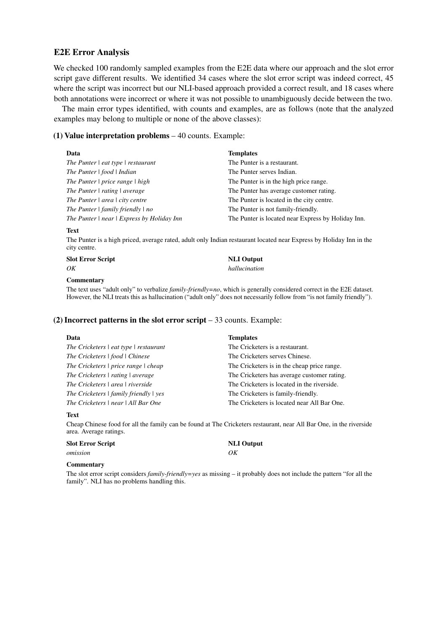## E2E Error Analysis

We checked 100 randomly sampled examples from the E2E data where our approach and the slot error script gave different results. We identified 34 cases where the slot error script was indeed correct, 45 where the script was incorrect but our NLI-based approach provided a correct result, and 18 cases where both annotations were incorrect or where it was not possible to unambiguously decide between the two.

The main error types identified, with counts and examples, are as follows (note that the analyzed examples may belong to multiple or none of the above classes):

## (1) Value interpretation problems – 40 counts. Example:

| Data                                                   | <b>Templates</b>                                   |
|--------------------------------------------------------|----------------------------------------------------|
| The Punter $\vert$ eat type $\vert$ restaurant         | The Punter is a restaurant.                        |
| The Punter $\vert$ food $\vert$ Indian                 | The Punter serves Indian.                          |
| The Punter $\vert$ price range $\vert$ high            | The Punter is in the high price range.             |
| The Punter   rating   average                          | The Punter has average customer rating.            |
| The Punter $ $ area $ $ city centre                    | The Punter is located in the city centre.          |
| The Punter $\vert$ family friendly $\vert$ no          | The Punter is not family-friendly.                 |
| The Punter $\vert$ near $\vert$ Express by Holiday Inn | The Punter is located near Express by Holiday Inn. |

#### Text

The Punter is a high priced, average rated, adult only Indian restaurant located near Express by Holiday Inn in the city centre.

| <b>Slot Error Script</b> | <b>NLI</b> Output |
|--------------------------|-------------------|
| OK                       | hallucination     |

#### **Commentary**

The text uses "adult only" to verbalize *family-friendly=no*, which is generally considered correct in the E2E dataset. However, the NLI treats this as hallucination ("adult only" does not necessarily follow from "is not family friendly").

#### (2) Incorrect patterns in the slot error script  $-33$  counts. Example:

| Data                                               | <b>Templates</b>                            |
|----------------------------------------------------|---------------------------------------------|
| The Cricketers $\vert$ eat type $\vert$ restaurant | The Cricketers is a restaurant.             |
| The Cricketers   food   Chinese                    | The Cricketers serves Chinese.              |
| The Cricketers   price range   cheap               | The Cricketers is in the cheap price range. |
| The Cricketers   rating   average                  | The Cricketers has average customer rating. |
| The Cricketers   area   riverside                  | The Cricketers is located in the riverside. |
| The Cricketers $\vert$ family friendly $\vert$ yes | The Cricketers is family-friendly.          |
| The Cricketers   near   All Bar One                | The Cricketers is located near All Bar One. |

#### Text

Cheap Chinese food for all the family can be found at The Cricketers restaurant, near All Bar One, in the riverside area. Average ratings.

| <b>Slot Error Script</b> | <b>NLI</b> Output |
|--------------------------|-------------------|
| omission                 | OK                |

#### Commentary

The slot error script considers *family-friendly=yes* as missing – it probably does not include the pattern "for all the family". NLI has no problems handling this.